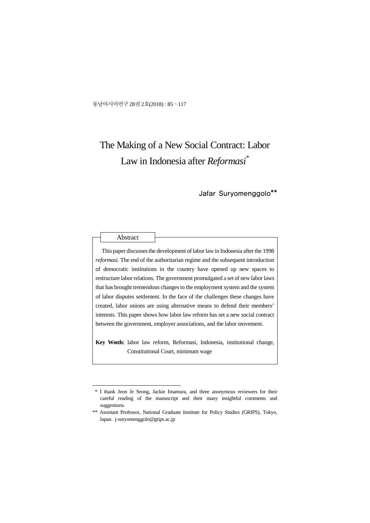동남아시아연구 28권 2호(2018) : 85~117

## The Making of a New Social Contract: Labor Law in Indonesia after *Reformasi\**

Jafar Suryomenggolo\*\*

This paper discusses the development of labor law in Indonesia after the 1998 *reformasi*. The end of the authoritarian regime and the subsequent introduction of democratic institutions in the country have opened up new spaces to restructure labor relations. The government promulgated a set of new labor laws that has brought tremendous changes to the employment system and the system of labor disputes settlement. In the face of the challenges these changes have created, labor unions are using alternative means to defend their members' interests. This paper shows how labor law reform has set a new social contract between the government, employer associations, and the labor movement.

**Key Words**: labor law reform, Reformasi, Indonesia, institutional change, Constitutional Court, minimum wage

 <sup>\*</sup> I thank Jeon Je Seong, Jackie Imamura, and three anonymous reviewers for their careful reading of the manuscript and their many insightful comments and suggestions.

<sup>\*\*</sup> Assistant Professor, National Graduate Institute for Policy Studies (GRIPS), Tokyo, Japan. j-suryomenggolo@grips.ac.jp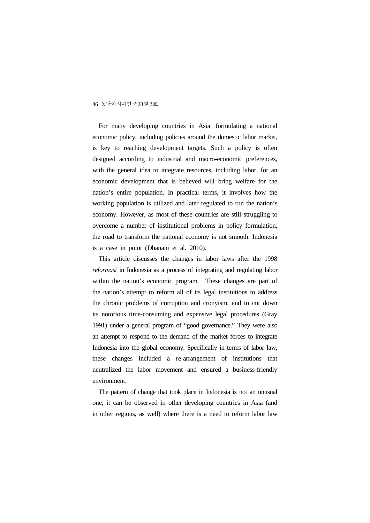For many developing countries in Asia, formulating a national economic policy, including policies around the domestic labor market, is key to reaching development targets. Such a policy is often designed according to industrial and macro-economic preferences, with the general idea to integrate resources, including labor, for an economic development that is believed will bring welfare for the nation's entire population. In practical terms, it involves how the working population is utilized and later regulated to run the nation's economy. However, as most of these countries are still struggling to overcome a number of institutional problems in policy formulation, the road to transform the national economy is not smooth. Indonesia is a case in point (Dhanani et al. 2010).

This article discusses the changes in labor laws after the 1998 *reformasi* in Indonesia as a process of integrating and regulating labor within the nation's economic program. These changes are part of the nation's attempt to reform all of its legal institutions to address the chronic problems of corruption and cronyism, and to cut down its notorious time-consuming and expensive legal procedures (Gray 1991) under a general program of "good governance." They were also an attempt to respond to the demand of the market forces to integrate Indonesia into the global economy. Specifically in terms of labor law, these changes included a re-arrangement of institutions that neutralized the labor movement and ensured a business-friendly environment.

The pattern of change that took place in Indonesia is not an unusual one; it can be observed in other developing countries in Asia (and in other regions, as well) where there is a need to reform labor law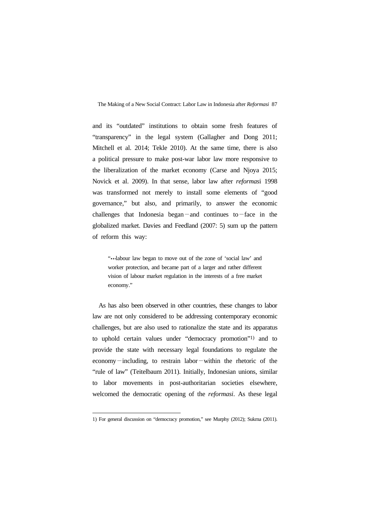and its "outdated" institutions to obtain some fresh features of "transparency" in the legal system (Gallagher and Dong 2011; Mitchell et al. 2014; Tekle 2010). At the same time, there is also a political pressure to make post-war labor law more responsive to the liberalization of the market economy (Carse and Njoya 2015; Novick et al. 2009). In that sense, labor law after *reformas*i 1998 was transformed not merely to install some elements of "good governance," but also, and primarily, to answer the economic challenges that Indonesia began—and continues to—face in the globalized market. Davies and Feedland (2007: 5) sum up the pattern of reform this way:

"....labour law began to move out of the zone of 'social law' and worker protection, and became part of a larger and rather different vision of labour market regulation in the interests of a free market economy."

As has also been observed in other countries, these changes to labor law are not only considered to be addressing contemporary economic challenges, but are also used to rationalize the state and its apparatus to uphold certain values under "democracy promotion"1) and to provide the state with necessary legal foundations to regulate the economy—including, to restrain labor—within the rhetoric of the "rule of law" (Teitelbaum 2011). Initially, Indonesian unions, similar to labor movements in post-authoritarian societies elsewhere, welcomed the democratic opening of the *reformasi*. As these legal

<sup>1)</sup> For general discussion on "democracy promotion," see Murphy (2012); Sukma (2011).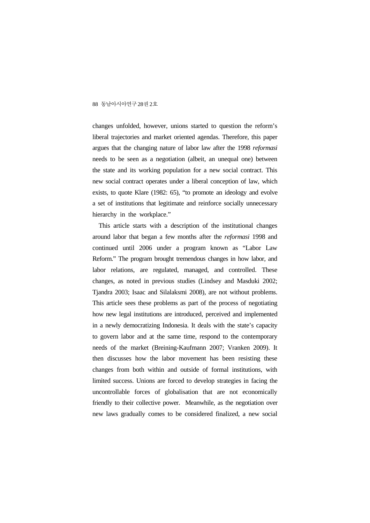changes unfolded, however, unions started to question the reform's liberal trajectories and market oriented agendas. Therefore, this paper argues that the changing nature of labor law after the 1998 *reformasi*  needs to be seen as a negotiation (albeit, an unequal one) between the state and its working population for a new social contract. This new social contract operates under a liberal conception of law, which exists, to quote Klare (1982: 65), "to promote an ideology and evolve a set of institutions that legitimate and reinforce socially unnecessary hierarchy in the workplace."

This article starts with a description of the institutional changes around labor that began a few months after the *reformasi* 1998 and continued until 2006 under a program known as "Labor Law Reform." The program brought tremendous changes in how labor, and labor relations, are regulated, managed, and controlled. These changes, as noted in previous studies (Lindsey and Masduki 2002; Tjandra 2003; Isaac and Silalaksmi 2008), are not without problems. This article sees these problems as part of the process of negotiating how new legal institutions are introduced, perceived and implemented in a newly democratizing Indonesia. It deals with the state's capacity to govern labor and at the same time, respond to the contemporary needs of the market (Breining-Kaufmann 2007; Vranken 2009). It then discusses how the labor movement has been resisting these changes from both within and outside of formal institutions, with limited success. Unions are forced to develop strategies in facing the uncontrollable forces of globalisation that are not economically friendly to their collective power. Meanwhile, as the negotiation over new laws gradually comes to be considered finalized, a new social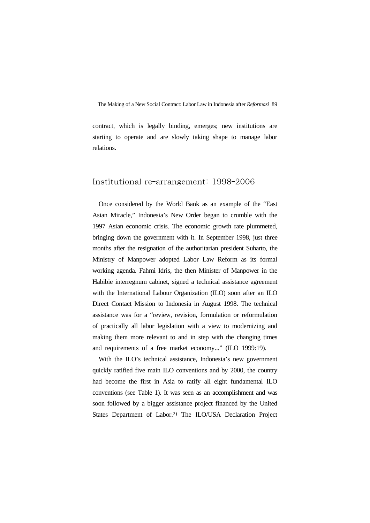contract, which is legally binding, emerges; new institutions are starting to operate and are slowly taking shape to manage labor relations.

## Institutional re-arrangement: 1998-2006

Once considered by the World Bank as an example of the "East Asian Miracle," Indonesia's New Order began to crumble with the 1997 Asian economic crisis. The economic growth rate plummeted, bringing down the government with it. In September 1998, just three months after the resignation of the authoritarian president Suharto, the Ministry of Manpower adopted Labor Law Reform as its formal working agenda. Fahmi Idris, the then Minister of Manpower in the Habibie interregnum cabinet, signed a technical assistance agreement with the International Labour Organization (ILO) soon after an ILO Direct Contact Mission to Indonesia in August 1998. The technical assistance was for a "review, revision, formulation or reformulation of practically all labor legislation with a view to modernizing and making them more relevant to and in step with the changing times and requirements of a free market economy..." (ILO 1999:19).

With the ILO's technical assistance, Indonesia's new government quickly ratified five main ILO conventions and by 2000, the country had become the first in Asia to ratify all eight fundamental ILO conventions (see Table 1). It was seen as an accomplishment and was soon followed by a bigger assistance project financed by the United States Department of Labor.2) The ILO/USA Declaration Project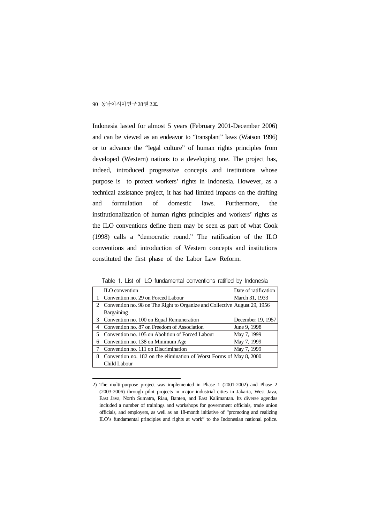Indonesia lasted for almost 5 years (February 2001-December 2006) and can be viewed as an endeavor to "transplant" laws (Watson 1996) or to advance the "legal culture" of human rights principles from developed (Western) nations to a developing one. The project has, indeed, introduced progressive concepts and institutions whose purpose is to protect workers' rights in Indonesia. However, as a technical assistance project, it has had limited impacts on the drafting and formulation of domestic laws. Furthermore, the institutionalization of human rights principles and workers' rights as the ILO conventions define them may be seen as part of what Cook (1998) calls a "democratic round." The ratification of the ILO conventions and introduction of Western concepts and institutions constituted the first phase of the Labor Law Reform.

|                | ILO convention                                                            | Date of ratification |
|----------------|---------------------------------------------------------------------------|----------------------|
|                | Convention no. 29 on Forced Labour                                        | March 31, 1933       |
| $\overline{2}$ | Convention no. 98 on The Right to Organize and Collective August 29, 1956 |                      |
|                | Bargaining                                                                |                      |
| 3              | Convention no. 100 on Equal Remuneration                                  | December 19, 1957    |
| 4              | Convention no. 87 on Freedom of Association                               | June 9, 1998         |
| 5              | Convention no. 105 on Abolition of Forced Labour                          | May 7, 1999          |
| 6              | Convention no. 138 on Minimum Age                                         | May 7, 1999          |
| 7              | Convention no. 111 on Discrimination                                      | May 7, 1999          |
| 8              | Convention no. 182 on the elimination of Worst Forms of May 8, 2000       |                      |
|                | Child Labour                                                              |                      |

Table 1. List of ILO fundamental conventions ratified by Indonesia

<sup>2)</sup> The multi-purpose project was implemented in Phase 1 (2001-2002) and Phase 2 (2003-2006) through pilot projects in major industrial cities in Jakarta, West Java, East Java, North Sumatra, Riau, Banten, and East Kalimantan. Its diverse agendas included a number of trainings and workshops for government officials, trade union officials, and employers, as well as an 18-month initiative of "promoting and realizing ILO's fundamental principles and rights at work" to the Indonesian national police.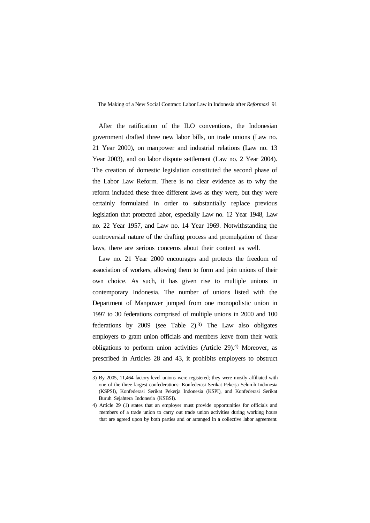After the ratification of the ILO conventions, the Indonesian government drafted three new labor bills, on trade unions (Law no. 21 Year 2000), on manpower and industrial relations (Law no. 13 Year 2003), and on labor dispute settlement (Law no. 2 Year 2004). The creation of domestic legislation constituted the second phase of the Labor Law Reform. There is no clear evidence as to why the reform included these three different laws as they were, but they were certainly formulated in order to substantially replace previous legislation that protected labor, especially Law no. 12 Year 1948, Law no. 22 Year 1957, and Law no. 14 Year 1969. Notwithstanding the controversial nature of the drafting process and promulgation of these laws, there are serious concerns about their content as well.

Law no. 21 Year 2000 encourages and protects the freedom of association of workers, allowing them to form and join unions of their own choice. As such, it has given rise to multiple unions in contemporary Indonesia. The number of unions listed with the Department of Manpower jumped from one monopolistic union in 1997 to 30 federations comprised of multiple unions in 2000 and 100 federations by 2009 (see Table 2).3) The Law also obligates employers to grant union officials and members leave from their work obligations to perform union activities (Article 29).4) Moreover, as prescribed in Articles 28 and 43, it prohibits employers to obstruct

<sup>3)</sup> By 2005, 11,464 factory-level unions were registered; they were mostly affiliated with one of the three largest confederations: Konfederasi Serikat Pekerja Seluruh Indonesia (KSPSI), Konfederasi Serikat Pekerja Indonesia (KSPI), and Konfederasi Serikat Buruh Sejahtera Indonesia (KSBSI).

<sup>4)</sup> Article 29 (1) states that an employer must provide opportunities for officials and members of a trade union to carry out trade union activities during working hours that are agreed upon by both parties and or arranged in a collective labor agreement.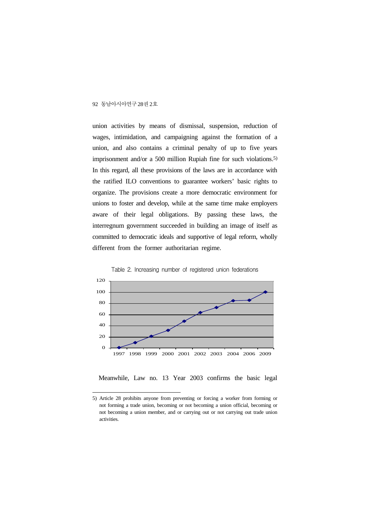union activities by means of dismissal, suspension, reduction of wages, intimidation, and campaigning against the formation of a union, and also contains a criminal penalty of up to five years imprisonment and/or a 500 million Rupiah fine for such violations.5) In this regard, all these provisions of the laws are in accordance with the ratified ILO conventions to guarantee workers' basic rights to organize. The provisions create a more democratic environment for unions to foster and develop, while at the same time make employers aware of their legal obligations. By passing these laws, the interregnum government succeeded in building an image of itself as committed to democratic ideals and supportive of legal reform, wholly different from the former authoritarian regime.





Meanwhile, Law no. 13 Year 2003 confirms the basic legal

<sup>5)</sup> Article 28 prohibits anyone from preventing or forcing a worker from forming or not forming a trade union, becoming or not becoming a union official, becoming or not becoming a union member, and or carrying out or not carrying out trade union activities.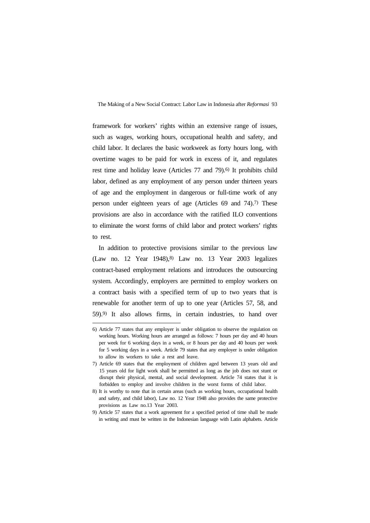framework for workers' rights within an extensive range of issues, such as wages, working hours, occupational health and safety, and child labor. It declares the basic workweek as forty hours long, with overtime wages to be paid for work in excess of it, and regulates rest time and holiday leave (Articles 77 and 79).6) It prohibits child labor, defined as any employment of any person under thirteen years of age and the employment in dangerous or full-time work of any person under eighteen years of age (Articles 69 and 74).7) These provisions are also in accordance with the ratified ILO conventions to eliminate the worst forms of child labor and protect workers' rights to rest.

In addition to protective provisions similar to the previous law (Law no. 12 Year 1948),8) Law no. 13 Year 2003 legalizes contract-based employment relations and introduces the outsourcing system. Accordingly, employers are permitted to employ workers on a contract basis with a specified term of up to two years that is renewable for another term of up to one year (Articles 57, 58, and 59).9) It also allows firms, in certain industries, to hand over

<sup>6)</sup> Article 77 states that any employer is under obligation to observe the regulation on working hours. Working hours are arranged as follows: 7 hours per day and 40 hours per week for 6 working days in a week, or 8 hours per day and 40 hours per week for 5 working days in a week. Article 79 states that any employer is under obligation to allow its workers to take a rest and leave.

<sup>7)</sup> Article 69 states that the employment of children aged between 13 years old and 15 years old for light work shall be permitted as long as the job does not stunt or disrupt their physical, mental, and social development. Article 74 states that it is forbidden to employ and involve children in the worst forms of child labor.

<sup>8)</sup> It is worthy to note that in certain areas (such as working hours, occupational health and safety, and child labor), Law no. 12 Year 1948 also provides the same protective provisions as Law no.13 Year 2003.

<sup>9)</sup> Article 57 states that a work agreement for a specified period of time shall be made in writing and must be written in the Indonesian language with Latin alphabets. Article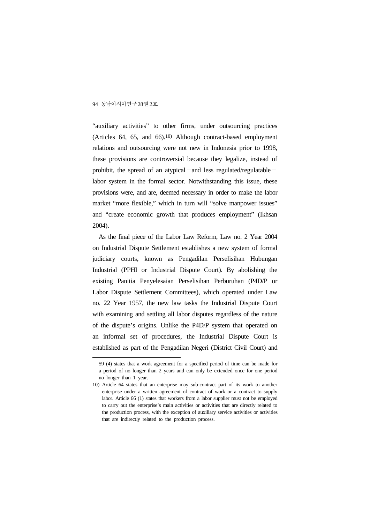"auxiliary activities" to other firms, under outsourcing practices (Articles 64, 65, and 66).10) Although contract-based employment relations and outsourcing were not new in Indonesia prior to 1998, these provisions are controversial because they legalize, instead of prohibit, the spread of an atypical—and less regulated/regulatable labor system in the formal sector. Notwithstanding this issue, these provisions were, and are, deemed necessary in order to make the labor market "more flexible," which in turn will "solve manpower issues" and "create economic growth that produces employment" (Ikhsan 2004).

As the final piece of the Labor Law Reform, Law no. 2 Year 2004 on Industrial Dispute Settlement establishes a new system of formal judiciary courts, known as Pengadilan Perselisihan Hubungan Industrial (PPHI or Industrial Dispute Court). By abolishing the existing Panitia Penyelesaian Perselisihan Perburuhan (P4D/P or Labor Dispute Settlement Committees), which operated under Law no. 22 Year 1957, the new law tasks the Industrial Dispute Court with examining and settling all labor disputes regardless of the nature of the dispute's origins. Unlike the P4D/P system that operated on an informal set of procedures, the Industrial Dispute Court is established as part of the Pengadilan Negeri (District Civil Court) and

<sup>59 (4)</sup> states that a work agreement for a specified period of time can be made for a period of no longer than 2 years and can only be extended once for one period no longer than 1 year.

<sup>10)</sup> Article 64 states that an enterprise may sub-contract part of its work to another enterprise under a written agreement of contract of work or a contract to supply labor. Article 66 (1) states that workers from a labor supplier must not be employed to carry out the enterprise's main activities or activities that are directly related to the production process, with the exception of auxiliary service activities or activities that are indirectly related to the production process.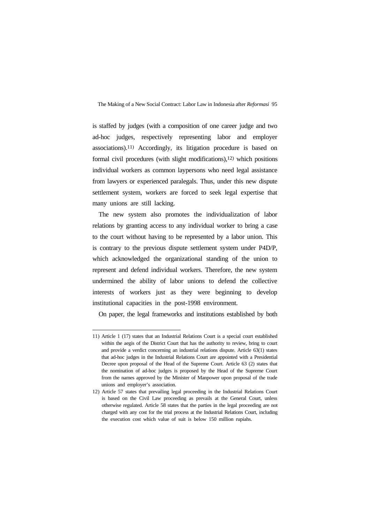is staffed by judges (with a composition of one career judge and two ad-hoc judges, respectively representing labor and employer associations).11) Accordingly, its litigation procedure is based on formal civil procedures (with slight modifications),<sup>12)</sup> which positions individual workers as common laypersons who need legal assistance from lawyers or experienced paralegals. Thus, under this new dispute settlement system, workers are forced to seek legal expertise that many unions are still lacking.

The new system also promotes the individualization of labor relations by granting access to any individual worker to bring a case to the court without having to be represented by a labor union. This is contrary to the previous dispute settlement system under P4D/P, which acknowledged the organizational standing of the union to represent and defend individual workers. Therefore, the new system undermined the ability of labor unions to defend the collective interests of workers just as they were beginning to develop institutional capacities in the post-1998 environment.

On paper, the legal frameworks and institutions established by both

<sup>11)</sup> Article 1 (17) states that an Industrial Relations Court is a special court established within the aegis of the District Court that has the authority to review, bring to court and provide a verdict concerning an industrial relations dispute. Article 63(1) states that ad-hoc judges in the Industrial Relations Court are appointed with a Presidential Decree upon proposal of the Head of the Supreme Court. Article 63 (2) states that the nomination of ad-hoc judges is proposed by the Head of the Supreme Court from the names approved by the Minister of Manpower upon proposal of the trade unions and employer's association.

<sup>12)</sup> Article 57 states that prevailing legal proceeding in the Industrial Relations Court is based on the Civil Law proceeding as prevails at the General Court, unless otherwise regulated. Article 58 states that the parties in the legal proceeding are not charged with any cost for the trial process at the Industrial Relations Court, including the execution cost which value of suit is below 150 million rupiahs.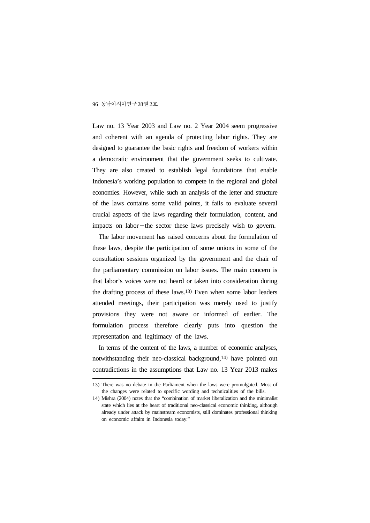Law no. 13 Year 2003 and Law no. 2 Year 2004 seem progressive and coherent with an agenda of protecting labor rights. They are designed to guarantee the basic rights and freedom of workers within a democratic environment that the government seeks to cultivate. They are also created to establish legal foundations that enable Indonesia's working population to compete in the regional and global economies. However, while such an analysis of the letter and structure of the laws contains some valid points, it fails to evaluate several crucial aspects of the laws regarding their formulation, content, and impacts on labor—the sector these laws precisely wish to govern.

The labor movement has raised concerns about the formulation of these laws, despite the participation of some unions in some of the consultation sessions organized by the government and the chair of the parliamentary commission on labor issues. The main concern is that labor's voices were not heard or taken into consideration during the drafting process of these laws.13) Even when some labor leaders attended meetings, their participation was merely used to justify provisions they were not aware or informed of earlier. The formulation process therefore clearly puts into question the representation and legitimacy of the laws.

In terms of the content of the laws, a number of economic analyses, notwithstanding their neo-classical background,14) have pointed out contradictions in the assumptions that Law no. 13 Year 2013 makes

<sup>13)</sup> There was no debate in the Parliament when the laws were promulgated. Most of the changes were related to specific wording and technicalities of the bills.

<sup>14)</sup> Mishra (2004) notes that the "combination of market liberalization and the minimalist state which lies at the heart of traditional neo-classical economic thinking, although already under attack by mainstream economists, still dominates professional thinking on economic affairs in Indonesia today."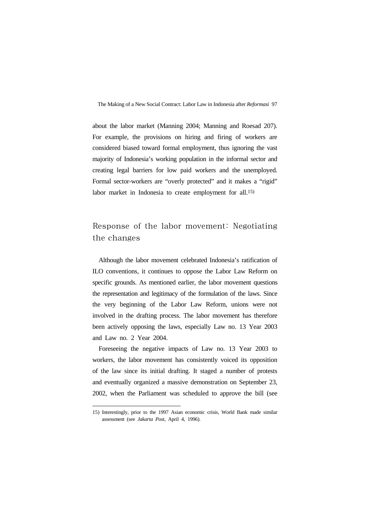about the labor market (Manning 2004; Manning and Roesad 207). For example, the provisions on hiring and firing of workers are considered biased toward formal employment, thus ignoring the vast majority of Indonesia's working population in the informal sector and creating legal barriers for low paid workers and the unemployed. Formal sector-workers are "overly protected" and it makes a "rigid" labor market in Indonesia to create employment for all.15)

## Response of the labor movement: Negotiating the changes

Although the labor movement celebrated Indonesia's ratification of ILO conventions, it continues to oppose the Labor Law Reform on specific grounds. As mentioned earlier, the labor movement questions the representation and legitimacy of the formulation of the laws. Since the very beginning of the Labor Law Reform, unions were not involved in the drafting process. The labor movement has therefore been actively opposing the laws, especially Law no. 13 Year 2003 and Law no. 2 Year 2004.

Foreseeing the negative impacts of Law no. 13 Year 2003 to workers, the labor movement has consistently voiced its opposition of the law since its initial drafting. It staged a number of protests and eventually organized a massive demonstration on September 23, 2002, when the Parliament was scheduled to approve the bill (see

<sup>15)</sup> Interestingly, prior to the 1997 Asian economic crisis, World Bank made similar assessment (see *Jakarta Post*, April 4, 1996).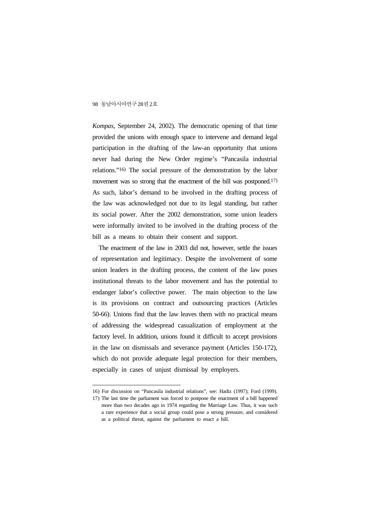*Kompas*, September 24, 2002). The democratic opening of that time provided the unions with enough space to intervene and demand legal participation in the drafting of the law-an opportunity that unions never had during the New Order regime's "Pancasila industrial relations."16) The social pressure of the demonstration by the labor movement was so strong that the enactment of the bill was postponed.17) As such, labor's demand to be involved in the drafting process of the law was acknowledged not due to its legal standing, but rather its social power. After the 2002 demonstration, some union leaders were informally invited to be involved in the drafting process of the bill as a means to obtain their consent and support.

The enactment of the law in 2003 did not, however, settle the issues of representation and legitimacy. Despite the involvement of some union leaders in the drafting process, the content of the law poses institutional threats to the labor movement and has the potential to endanger labor's collective power. The main objection to the law is its provisions on contract and outsourcing practices (Articles 50-66). Unions find that the law leaves them with no practical means of addressing the widespread casualization of employment at the factory level. In addition, unions found it difficult to accept provisions in the law on dismissals and severance payment (Articles 150-172), which do not provide adequate legal protection for their members, especially in cases of unjust dismissal by employers.

<sup>16)</sup> For discussion on "Pancasila industrial relations", see: Hadiz (1997); Ford (1999).

<sup>17)</sup> The last time the parliament was forced to postpone the enactment of a bill happened more than two decades ago in 1974 regarding the Marriage Law. Thus, it was such a rare experience that a social group could pose a strong pressure, and considered as a political threat, against the parliament to enact a bill.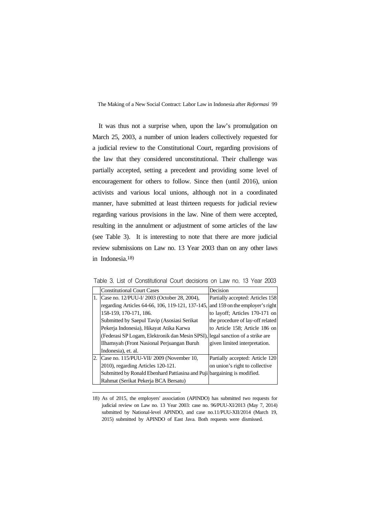It was thus not a surprise when, upon the law's promulgation on March 25, 2003, a number of union leaders collectively requested for a judicial review to the Constitutional Court, regarding provisions of the law that they considered unconstitutional. Their challenge was partially accepted, setting a precedent and providing some level of encouragement for others to follow. Since then (until 2016), union activists and various local unions, although not in a coordinated manner, have submitted at least thirteen requests for judicial review regarding various provisions in the law. Nine of them were accepted, resulting in the annulment or adjustment of some articles of the law (see Table 3). It is interesting to note that there are more judicial review submissions on Law no. 13 Year 2003 than on any other laws in Indonesia.18)

|    | <b>Constitutional Court Cases</b>                                              | Decision                         |
|----|--------------------------------------------------------------------------------|----------------------------------|
|    | Case no. 12/PUU-I/2003 (October 28, 2004),                                     | Partially accepted: Articles 158 |
|    | regarding Articles 64-66, 106, 119-121, 137-145,                               | and 159 on the employer's right  |
|    | 158-159, 170-171, 186.                                                         | to layoff; Articles 170-171 on   |
|    | Submitted by Saepul Tavip (Asosiasi Serikat                                    | the procedure of lay-off related |
|    | Pekerja Indonesia), Hikayat Atika Karwa                                        | to Article 158; Article 186 on   |
|    | (Federasi SP Logam, Elektronik dan Mesin SPSI), legal sanction of a strike are |                                  |
|    | Ilhamsyah (Front Nasional Perjuangan Buruh                                     | given limited interpretation.    |
|    | Indonesia), et. al.                                                            |                                  |
| 2. | Case no. 115/PUU-VII/2009 (November 10,                                        | Partially accepted: Article 120  |
|    | 2010), regarding Articles 120-121.                                             | on union's right to collective   |
|    | Submitted by Ronald Ebenhard Pattiasina and Puji bargaining is modified.       |                                  |
|    | Rahmat (Serikat Pekerja BCA Bersatu)                                           |                                  |

Table 3. List of Constitutional Court decisions on Law no. 13 Year 2003

<sup>18)</sup> As of 2015, the employers' association (APINDO) has submitted two requests for judicial review on Law no. 13 Year 2003: case no. 96/PUU-XI/2013 (May 7, 2014) submitted by National-level APINDO, and case no.11/PUU-XII/2014 (March 19, 2015) submitted by APINDO of East Java. Both requests were dismissed.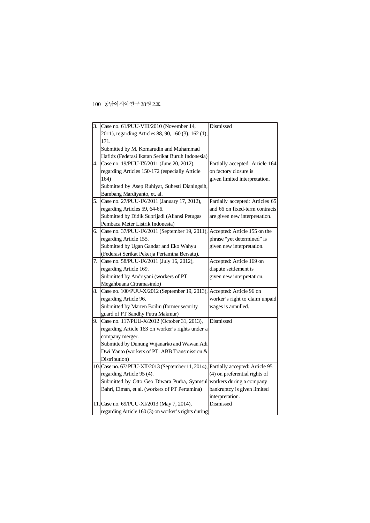| 3. | Case no. 61/PUU-VIII/2010 (November 14,                                            | Dismissed                       |
|----|------------------------------------------------------------------------------------|---------------------------------|
|    | 2011), regarding Articles 88, 90, 160 (3), 162 (1),                                |                                 |
|    | 171.                                                                               |                                 |
|    | Submitted by M. Komarudin and Muhammad                                             |                                 |
|    | Hafidz (Federasi Ikatan Serikat Buruh Indonesia)                                   |                                 |
| 4. | Case no. 19/PUU-IX/2011 (June 20, 2012),                                           | Partially accepted: Article 164 |
|    | regarding Articles 150-172 (especially Article                                     | on factory closure is           |
|    | 164)                                                                               | given limited interpretation.   |
|    | Submitted by Asep Ruhiyat, Suhesti Dianingsih,                                     |                                 |
|    | Bambang Mardiyanto, et. al.                                                        |                                 |
| 5. | Case no. 27/PUU-IX/2011 (January 17, 2012),                                        | Partially accepted: Articles 65 |
|    | regarding Articles 59, 64-66.                                                      | and 66 on fixed-term contracts  |
|    | Submitted by Didik Suprijadi (Aliansi Petugas                                      | are given new interpretation.   |
|    | Pembaca Meter Listrik Indonesia)                                                   |                                 |
| 6. | Case no. 37/PUU-IX/2011 (September 19, 2011), Accepted: Article 155 on the         |                                 |
|    | regarding Article 155.                                                             | phrase "yet determined" is      |
|    | Submitted by Ugan Gandar and Eko Wahyu                                             | given new interpretation.       |
|    | (Federasi Serikat Pekerja Pertamina Bersatu).                                      |                                 |
| 7. | Case no. 58/PUU-IX/2011 (July 16, 2012),                                           | Accepted: Article 169 on        |
|    | regarding Article 169.                                                             | dispute settlement is           |
|    | Submitted by Andriyani (workers of PT                                              | given new interpretation.       |
|    | Megahbuana Citramasindo)                                                           |                                 |
| 8. | Case no. 100/PUU-X/2012 (September 19, 2013), Accepted: Article 96 on              |                                 |
|    | regarding Article 96.                                                              | worker's right to claim unpaid  |
|    | Submitted by Marten Boiliu (former security                                        | wages is annulled.              |
|    | guard of PT Sandhy Putra Makmur)                                                   |                                 |
| 9. | Case no. 117/PUU-X/2012 (October 31, 2013),                                        | Dismissed                       |
|    | regarding Article 163 on worker's rights under a                                   |                                 |
|    | company merger.                                                                    |                                 |
|    | Submitted by Dunung Wijanarko and Wawan Adi                                        |                                 |
|    | Dwi Yanto (workers of PT. ABB Transmission &                                       |                                 |
|    | Distribution)                                                                      |                                 |
|    | 10. Case no. 67/ PUU-XII/2013 (September 11, 2014), Partially accepted: Article 95 |                                 |
|    | regarding Article 95 (4).                                                          | (4) on preferential rights of   |
|    | Submitted by Otto Geo Diwara Purba, Syamsul                                        | workers during a company        |
|    | Bahri, Eiman, et al. (workers of PT Pertamina)                                     | bankruptcy is given limited     |
|    |                                                                                    | interpretation.                 |
|    | 11. Case no. 69/PUU-XI/2013 (May 7, 2014),                                         | Dismissed                       |
|    | regarding Article 160 (3) on worker's rights during                                |                                 |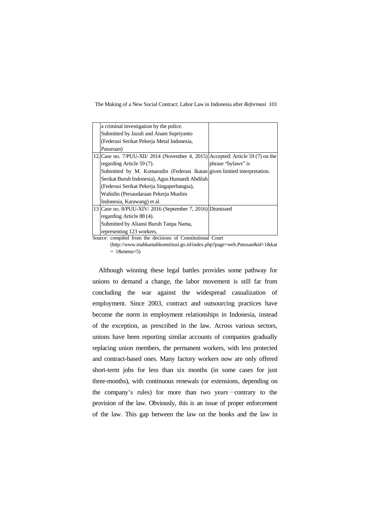The Making of a New Social Contract: Labor Law in Indonesia after *Reformasi* 101

| a criminal investigation by the police.                                          |                    |
|----------------------------------------------------------------------------------|--------------------|
| Submitted by Jazuli and Anam Supriyanto                                          |                    |
| (Federasi Serikat Pekerja Metal Indonesia,                                       |                    |
| Pasuruan)                                                                        |                    |
| 12. Case no. $7/PUU-XII/2014$ (November 4, 2015) Accepted: Article 59 (7) on the |                    |
| regarding Article 59 (7).                                                        | phrase "bylaws" is |
| Submitted by M. Komarudin (Federasi Ikatan given limited interpretation.         |                    |
| Serikat Buruh Indonesia), Agus Humaedi Abdilah                                   |                    |
| (Federasi Serikat Pekerja Singaperbangsa),                                       |                    |
| Wahidin (Persaudaraan Pekerja Muslim                                             |                    |
| Indonesia, Karawang) et al.                                                      |                    |
| 13 Case no. 8/PUU-XIV/ 2016 (September 7, 2016) Dismissed                        |                    |
| regarding Article 88 (4).                                                        |                    |
| Submitted by Aliansi Buruh Tanpa Nama,                                           |                    |
| representing 123 workers.                                                        |                    |

Source: compiled from the decisions of Constitutional Court

(http://www.mahkamahkonstitusi.go.id/index.php?page=web.Putusan&id=1&kat  $= 1$ &menu=5)

Although winning these legal battles provides some pathway for unions to demand a change, the labor movement is still far from concluding the war against the widespread casualization of employment. Since 2003, contract and outsourcing practices have become the norm in employment relationships in Indonesia, instead of the exception, as prescribed in the law. Across various sectors, unions have been reporting similar accounts of companies gradually replacing union members, the permanent workers, with less protected and contract-based ones. Many factory workers now are only offered short-term jobs for less than six months (in some cases for just three-months), with continuous renewals (or extensions, depending on the company's rules) for more than two years—contrary to the provision of the law. Obviously, this is an issue of proper enforcement of the law. This gap between the law on the books and the law in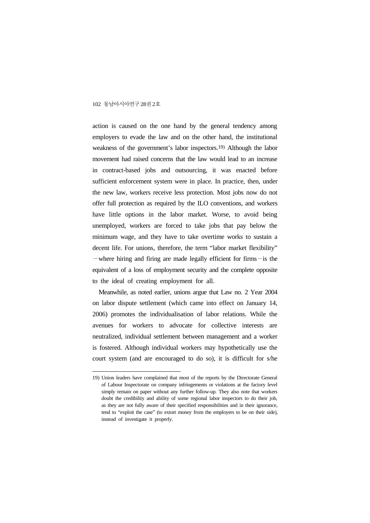action is caused on the one hand by the general tendency among employers to evade the law and on the other hand, the institutional weakness of the government's labor inspectors.19) Although the labor movement had raised concerns that the law would lead to an increase in contract-based jobs and outsourcing, it was enacted before sufficient enforcement system were in place. In practice, then, under the new law, workers receive less protection. Most jobs now do not offer full protection as required by the ILO conventions, and workers have little options in the labor market. Worse, to avoid being unemployed, workers are forced to take jobs that pay below the minimum wage, and they have to take overtime works to sustain a decent life. For unions, therefore, the term "labor market flexibility" —where hiring and firing are made legally efficient for firms—is the equivalent of a loss of employment security and the complete opposite to the ideal of creating employment for all.

Meanwhile, as noted earlier, unions argue that Law no. 2 Year 2004 on labor dispute settlement (which came into effect on January 14, 2006) promotes the individualisation of labor relations. While the avenues for workers to advocate for collective interests are neutralized, individual settlement between management and a worker is fostered. Although individual workers may hypothetically use the court system (and are encouraged to do so), it is difficult for s/he

<sup>19)</sup> Union leaders have complained that most of the reports by the Directorate General of Labour Inspectorate on company infringements or violations at the factory level simply remain on paper without any further follow-up. They also note that workers doubt the credibility and ability of some regional labor inspectors to do their job, as they are not fully aware of their specified responsibilities and in their ignorance, tend to "exploit the case" (to extort money from the employers to be on their side), instead of investigate it properly.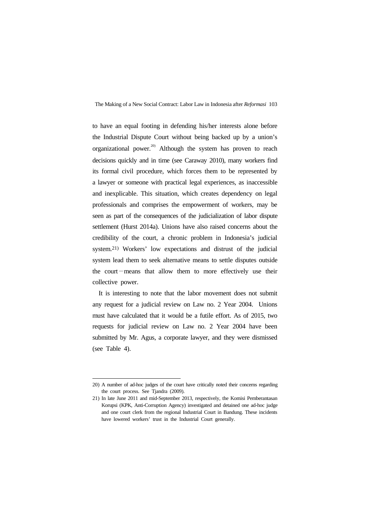to have an equal footing in defending his/her interests alone before the Industrial Dispute Court without being backed up by a union's organizational power.<sup>20)</sup> Although the system has proven to reach decisions quickly and in time (see Caraway 2010), many workers find its formal civil procedure, which forces them to be represented by a lawyer or someone with practical legal experiences, as inaccessible and inexplicable. This situation, which creates dependency on legal professionals and comprises the empowerment of workers, may be seen as part of the consequences of the judicialization of labor dispute settlement (Hurst 2014a). Unions have also raised concerns about the credibility of the court, a chronic problem in Indonesia's judicial system.21) Workers' low expectations and distrust of the judicial system lead them to seek alternative means to settle disputes outside the court—means that allow them to more effectively use their collective power.

It is interesting to note that the labor movement does not submit any request for a judicial review on Law no. 2 Year 2004. Unions must have calculated that it would be a futile effort. As of 2015, two requests for judicial review on Law no. 2 Year 2004 have been submitted by Mr. Agus, a corporate lawyer, and they were dismissed (see Table 4).

<sup>20)</sup> A number of ad-hoc judges of the court have critically noted their concerns regarding the court process. See Tjandra (2009).

<sup>21)</sup> In late June 2011 and mid-September 2013, respectively, the Komisi Pemberantasan Korupsi (KPK, Anti-Corruption Agency) investigated and detained one ad-hoc judge and one court clerk from the regional Industrial Court in Bandung. These incidents have lowered workers' trust in the Industrial Court generally.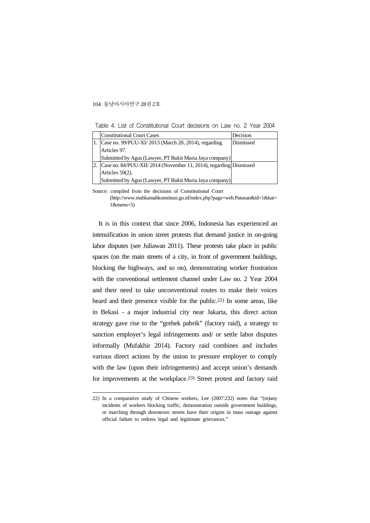Table 4. List of Constitutional Court decisions on Law no. 2 Year 2004

|     | <b>Constitutional Court Cases</b>                                 | Decision  |
|-----|-------------------------------------------------------------------|-----------|
|     | 1. Case no. 99/PUU-XI/ 2013 (March 20, 2014), regarding           | Dismissed |
|     | Articles 97.                                                      |           |
|     | Submitted by Agus (Lawyer, PT Bukit Muria Jaya company)           |           |
| 12. | Case no. 84/PUU-XII/2014 (November 11, 2014), regarding Dismissed |           |
|     | Articles $59(2)$ .                                                |           |
|     | Submitted by Agus (Lawyer, PT Bukit Muria Jaya company)           |           |

Source: compiled from the decisions of Constitutional Court

It is in this context that since 2006, Indonesia has experienced an intensification in union street protests that demand justice in on-going labor disputes (see Juliawan 2011). These protests take place in public spaces (on the main streets of a city, in front of government buildings, blocking the highways, and so on), demonstrating worker frustration with the conventional settlement channel under Law no. 2 Year 2004 and their need to take unconventional routes to make their voices heard and their presence visible for the public.22) In some areas, like in Bekasi - a major industrial city near Jakarta, this direct action strategy gave rise to the "grebek pabrik" (factory raid), a strategy to sanction employer's legal infringements and/ or settle labor disputes informally (Mufakhir 2014). Factory raid combines and includes various direct actions by the union to pressure employer to comply with the law (upon their infringements) and accept union's demands for improvements at the workplace.23) Street protest and factory raid

<sup>(</sup>http://www.mahkamahkonstitusi.go.id/index.php?page=web.Putusan&id=1&kat= 1&menu=5)

<sup>22)</sup> In a comparative study of Chinese workers, Lee (2007:232) notes that "(m)any incidents of workers blocking traffic, demonstration outside government buildings, or marching through downtown streets have their origins in mass outrage against official failure to redress legal and legitimate grievances."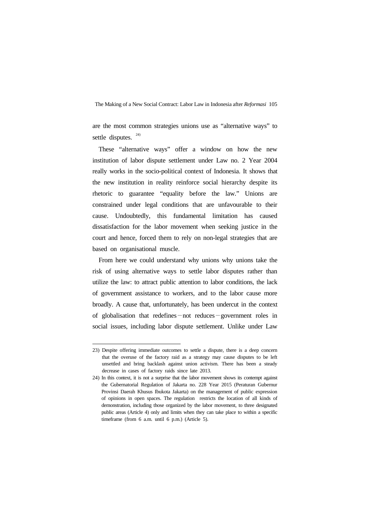are the most common strategies unions use as "alternative ways" to settle disputes.  $24)$ 

These "alternative ways" offer a window on how the new institution of labor dispute settlement under Law no. 2 Year 2004 really works in the socio-political context of Indonesia. It shows that the new institution in reality reinforce social hierarchy despite its rhetoric to guarantee "equality before the law." Unions are constrained under legal conditions that are unfavourable to their cause. Undoubtedly, this fundamental limitation has caused dissatisfaction for the labor movement when seeking justice in the court and hence, forced them to rely on non-legal strategies that are based on organisational muscle.

From here we could understand why unions why unions take the risk of using alternative ways to settle labor disputes rather than utilize the law: to attract public attention to labor conditions, the lack of government assistance to workers, and to the labor cause more broadly. A cause that, unfortunately, has been undercut in the context of globalisation that redefines—not reduces—government roles in social issues, including labor dispute settlement. Unlike under Law

<sup>23)</sup> Despite offering immediate outcomes to settle a dispute, there is a deep concern that the overuse of the factory raid as a strategy may cause disputes to be left unsettled and bring backlash against union activism. There has been a steady decrease in cases of factory raids since late 2013.

<sup>24)</sup> In this context, it is not a surprise that the labor movement shows its contempt against the Gubernatorial Regulation of Jakarta no. 228 Year 2015 (Peraturan Gubernur Provinsi Daerah Khusus Ibukota Jakarta) on the management of public expression of opinions in open spaces. The regulation restricts the location of all kinds of demonstration, including those organized by the labor movement, to three designated public areas (Article 4) only and limits when they can take place to within a specific timeframe (from 6 a.m. until 6 p.m.) (Article 5).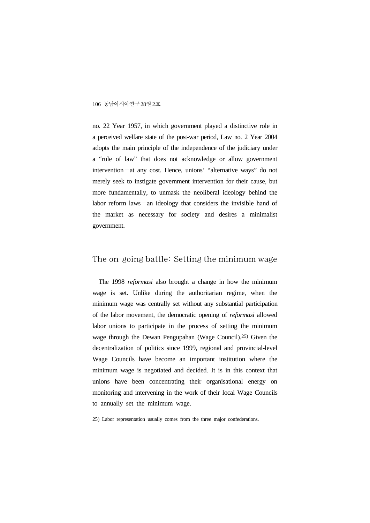no. 22 Year 1957, in which government played a distinctive role in a perceived welfare state of the post-war period, Law no. 2 Year 2004 adopts the main principle of the independence of the judiciary under a "rule of law" that does not acknowledge or allow government intervention—at any cost. Hence, unions' "alternative ways" do not merely seek to instigate government intervention for their cause, but more fundamentally, to unmask the neoliberal ideology behind the labor reform laws—an ideology that considers the invisible hand of the market as necessary for society and desires a minimalist government.

## The on-going battle: Setting the minimum wage

The 1998 *reformasi* also brought a change in how the minimum wage is set. Unlike during the authoritarian regime, when the minimum wage was centrally set without any substantial participation of the labor movement, the democratic opening of *reformasi* allowed labor unions to participate in the process of setting the minimum wage through the Dewan Pengupahan (Wage Council).25) Given the decentralization of politics since 1999, regional and provincial-level Wage Councils have become an important institution where the minimum wage is negotiated and decided. It is in this context that unions have been concentrating their organisational energy on monitoring and intervening in the work of their local Wage Councils to annually set the minimum wage.

<sup>25)</sup> Labor representation usually comes from the three major confederations.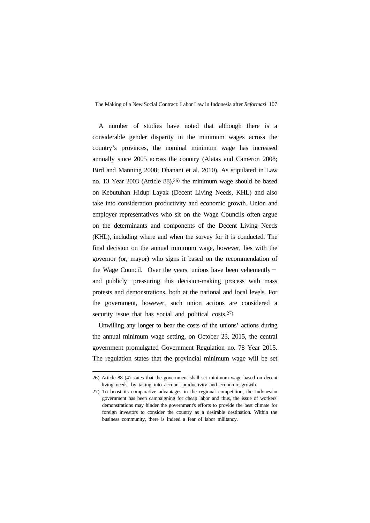A number of studies have noted that although there is a considerable gender disparity in the minimum wages across the country's provinces, the nominal minimum wage has increased annually since 2005 across the country (Alatas and Cameron 2008; Bird and Manning 2008; Dhanani et al. 2010). As stipulated in Law no. 13 Year 2003 (Article 88),26) the minimum wage should be based on Kebutuhan Hidup Layak (Decent Living Needs, KHL) and also take into consideration productivity and economic growth. Union and employer representatives who sit on the Wage Councils often argue on the determinants and components of the Decent Living Needs (KHL), including where and when the survey for it is conducted. The final decision on the annual minimum wage, however, lies with the governor (or, mayor) who signs it based on the recommendation of the Wage Council. Over the years, unions have been vehemently  $$ and publicly—pressuring this decision-making process with mass protests and demonstrations, both at the national and local levels. For the government, however, such union actions are considered a security issue that has social and political costs.<sup>27)</sup>

Unwilling any longer to bear the costs of the unions' actions during the annual minimum wage setting, on October 23, 2015, the central government promulgated Government Regulation no. 78 Year 2015. The regulation states that the provincial minimum wage will be set

<sup>26)</sup> Article 88 (4) states that the government shall set minimum wage based on decent living needs, by taking into account productivity and economic growth.

<sup>27)</sup> To boost its comparative advantages in the regional competition, the Indonesian government has been campaigning for cheap labor and thus, the issue of workers' demonstrations may hinder the government's efforts to provide the best climate for foreign investors to consider the country as a desirable destination. Within the business community, there is indeed a fear of labor militancy.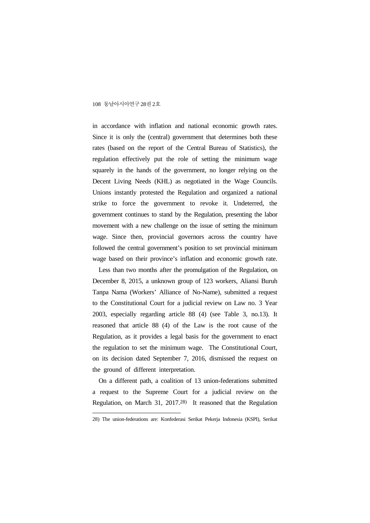in accordance with inflation and national economic growth rates. Since it is only the (central) government that determines both these rates (based on the report of the Central Bureau of Statistics), the regulation effectively put the role of setting the minimum wage squarely in the hands of the government, no longer relying on the Decent Living Needs (KHL) as negotiated in the Wage Councils. Unions instantly protested the Regulation and organized a national strike to force the government to revoke it. Undeterred, the government continues to stand by the Regulation, presenting the labor movement with a new challenge on the issue of setting the minimum wage. Since then, provincial governors across the country have followed the central government's position to set provincial minimum wage based on their province's inflation and economic growth rate.

Less than two months after the promulgation of the Regulation, on December 8, 2015, a unknown group of 123 workers, Aliansi Buruh Tanpa Nama (Workers' Alliance of No-Name), submitted a request to the Constitutional Court for a judicial review on Law no. 3 Year 2003, especially regarding article 88 (4) (see Table 3, no.13). It reasoned that article 88 (4) of the Law is the root cause of the Regulation, as it provides a legal basis for the government to enact the regulation to set the minimum wage. The Constitutional Court, on its decision dated September 7, 2016, dismissed the request on the ground of different interpretation.

On a different path, a coalition of 13 union-federations submitted a request to the Supreme Court for a judicial review on the Regulation, on March 31, 2017.28) It reasoned that the Regulation

<sup>28)</sup> The union-federations are: Konfederasi Serikat Pekerja Indonesia (KSPI), Serikat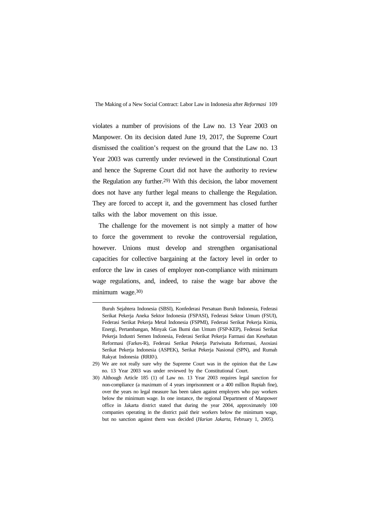violates a number of provisions of the Law no. 13 Year 2003 on Manpower. On its decision dated June 19, 2017, the Supreme Court dismissed the coalition's request on the ground that the Law no. 13 Year 2003 was currently under reviewed in the Constitutional Court and hence the Supreme Court did not have the authority to review the Regulation any further.29) With this decision, the labor movement does not have any further legal means to challenge the Regulation. They are forced to accept it, and the government has closed further talks with the labor movement on this issue.

The challenge for the movement is not simply a matter of how to force the government to revoke the controversial regulation, however. Unions must develop and strengthen organisational capacities for collective bargaining at the factory level in order to enforce the law in cases of employer non-compliance with minimum wage regulations, and, indeed, to raise the wage bar above the minimum wage.30)

Buruh Sejahtera Indonesia (SBSI), Konfederasi Persatuan Buruh Indonesia, Federasi Serikat Pekerja Aneka Sektor Indonesia (FSPASI), Federasi Sektor Umum (FSUI), Federasi Serikat Pekerja Metal Indonesia (FSPMI), Federasi Serikat Pekerja Kimia, Energi, Pertambangan, Minyak Gas Bumi dan Umum (FSP-KEP), Federasi Serikat Pekerja Industri Semen Indonesia, Federasi Serikat Pekerja Farmasi dan Kesehatan Reformasi (Farkes-R), Federasi Serikat Pekerja Pariwisata Reformasi, Asosiasi Serikat Pekerja Indonesia (ASPEK), Serikat Pekerja Nasional (SPN), and Rumah Rakyat Indonesia (RRI0\).

<sup>29)</sup> We are not really sure why the Supreme Court was in the opinion that the Law no. 13 Year 2003 was under reviewed by the Constitutional Court.

<sup>30)</sup> Although Article 185 (1) of Law no. 13 Year 2003 requires legal sanction for non-compliance (a maximum of 4 years imprisonment or a 400 million Rupiah fine), over the years no legal measure has been taken against employers who pay workers below the minimum wage. In one instance, the regional Department of Manpower office in Jakarta district stated that during the year 2004, approximately 100 companies operating in the district paid their workers below the minimum wage, but no sanction against them was decided (*Harian Jakarta,* February 1, 2005).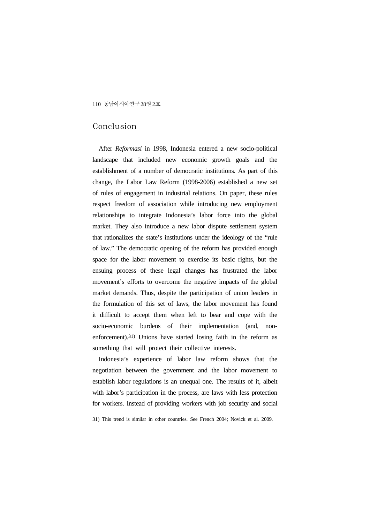## Conclusion

After *Reformasi* in 1998, Indonesia entered a new socio-political landscape that included new economic growth goals and the establishment of a number of democratic institutions. As part of this change, the Labor Law Reform (1998-2006) established a new set of rules of engagement in industrial relations. On paper, these rules respect freedom of association while introducing new employment relationships to integrate Indonesia's labor force into the global market. They also introduce a new labor dispute settlement system that rationalizes the state's institutions under the ideology of the "rule of law." The democratic opening of the reform has provided enough space for the labor movement to exercise its basic rights, but the ensuing process of these legal changes has frustrated the labor movement's efforts to overcome the negative impacts of the global market demands. Thus, despite the participation of union leaders in the formulation of this set of laws, the labor movement has found it difficult to accept them when left to bear and cope with the socio-economic burdens of their implementation (and, nonenforcement).31) Unions have started losing faith in the reform as something that will protect their collective interests.

Indonesia's experience of labor law reform shows that the negotiation between the government and the labor movement to establish labor regulations is an unequal one. The results of it, albeit with labor's participation in the process, are laws with less protection for workers. Instead of providing workers with job security and social

<sup>31)</sup> This trend is similar in other countries. See French 2004; Novick et al. 2009.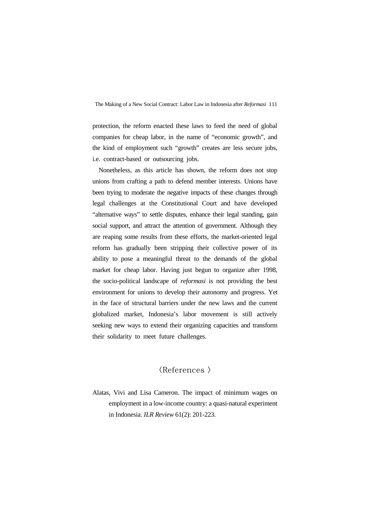protection, the reform enacted these laws to feed the need of global companies for cheap labor, in the name of "economic growth", and the kind of employment such "growth" creates are less secure jobs, i.e. contract-based or outsourcing jobs.

Nonetheless, as this article has shown, the reform does not stop unions from crafting a path to defend member interests. Unions have been trying to moderate the negative impacts of these changes through legal challenges at the Constitutional Court and have developed "alternative ways" to settle disputes, enhance their legal standing, gain social support, and attract the attention of government. Although they are reaping some results from these efforts, the market-oriented legal reform has gradually been stripping their collective power of its ability to pose a meaningful threat to the demands of the global market for cheap labor. Having just begun to organize after 1998, the socio-political landscape of *reformasi* is not providing the best environment for unions to develop their autonomy and progress. Yet in the face of structural barriers under the new laws and the current globalized market, Indonesia's labor movement is still actively seeking new ways to extend their organizing capacities and transform their solidarity to meet future challenges.

## <References >

Alatas, Vivi and Lisa Cameron. The impact of minimum wages on employment in a low-income country: a quasi-natural experiment in Indonesia. *ILR Review* 61(2): 201-223.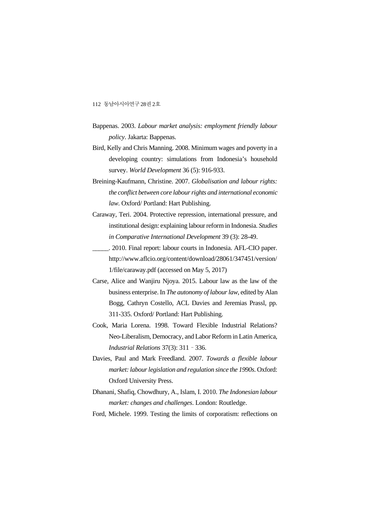- Bappenas. 2003. *Labour market analysis: employment friendly labour policy*. Jakarta: Bappenas.
- Bird, Kelly and Chris Manning. 2008. Minimum wages and poverty in a developing country: simulations from Indonesia's household survey. *World Development* 36 (5): 916-933.
- Breining-Kaufmann, Christine. 2007. *Globalisation and labour rights: the conflict between core labour rights and international economic law*. Oxford/ Portland: Hart Publishing.
- Caraway, Teri. 2004. Protective repression, international pressure, and institutional design: explaining labour reform in Indonesia. *Studies in Comparative International Development* 39 (3): 28-49.

\_\_\_\_\_. 2010. Final report: labour courts in Indonesia. AFL-CIO paper. http://www.aflcio.org/content/download/28061/347451/version/ 1/file/caraway.pdf (accessed on May 5, 2017)

- Carse, Alice and Wanjiru Njoya. 2015. Labour law as the law of the business enterprise. In *The autonomy of labour law*, edited by Alan Bogg, Cathryn Costello, ACL Davies and Jeremias Prassl, pp. 311-335. Oxford/ Portland: Hart Publishing.
- Cook, Maria Lorena. 1998. Toward Flexible Industrial Relations? Neo-Liberalism, Democracy, and Labor Reform in Latin America, *Industrial Relations* 37(3): 311–336.
- Davies, Paul and Mark Freedland. 2007. *Towards a flexible labour market: labour legislation and regulation since the 1990s*. Oxford: Oxford University Press.
- Dhanani, Shafiq, Chowdhury, A., Islam, I. 2010. *The Indonesian labour market: changes and challenges*. London: Routledge.

Ford, Michele. 1999. Testing the limits of corporatism: reflections on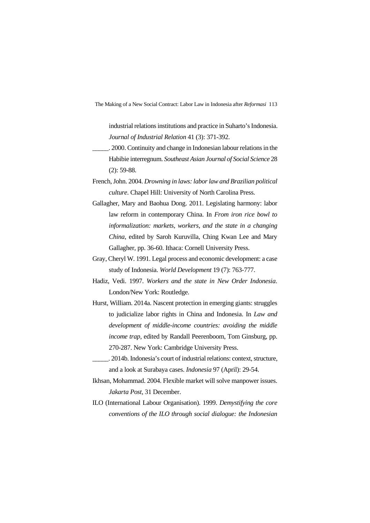industrial relations institutions and practice in Suharto's Indonesia. *Journal of Industrial Relation* 41 (3): 371-392.

- \_\_\_\_\_. 2000. Continuity and change in Indonesian labour relations in the Habibie interregnum. *Southeast Asian Journal of Social Science* 28 (2): 59-88.
- French, John. 2004. *Drowning in laws: labor law and Brazilian political culture*. Chapel Hill: University of North Carolina Press.
- Gallagher, Mary and Baohua Dong. 2011. Legislating harmony: labor law reform in contemporary China. In *From iron rice bowl to informalization: markets, workers, and the state in a changing China*, edited by Saroh Kuruvilla, Ching Kwan Lee and Mary Gallagher, pp. 36-60. Ithaca: Cornell University Press.
- Gray, Cheryl W. 1991. Legal process and economic development: a case study of Indonesia. *World Development* 19 (7): 763-777.
- Hadiz, Vedi. 1997. *Workers and the state in New Order Indonesia*. London/New York: Routledge.
- Hurst, William. 2014a. Nascent protection in emerging giants: struggles to judicialize labor rights in China and Indonesia. In *Law and development of middle-income countries: avoiding the middle income trap*, edited by Randall Peerenboom, Tom Ginsburg, pp. 270-287. New York: Cambridge University Press.
- \_\_\_\_\_. 2014b. Indonesia's court of industrial relations: context, structure, and a look at Surabaya cases. *Indonesia* 97 (April): 29-54.
- Ikhsan, Mohammad. 2004. Flexible market will solve manpower issues. *Jakarta Post*, 31 December.
- ILO (International Labour Organisation). 1999. *Demystifying the core conventions of the ILO through social dialogue: the Indonesian*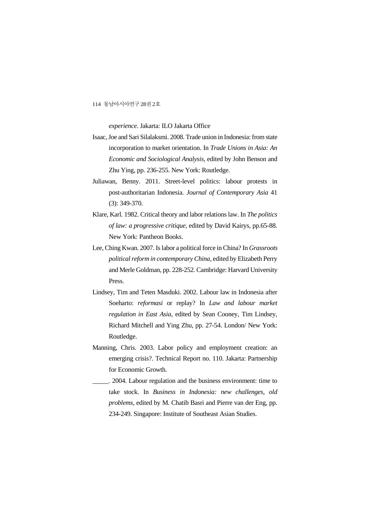*experience*. Jakarta: ILO Jakarta Office

- Isaac, Joe and Sari Silalaksmi. 2008. Trade union in Indonesia: from state incorporation to market orientation. In *Trade Unions in Asia: An Economic and Sociological Analysis*, edited by John Benson and Zhu Ying, pp. 236-255. New York: Routledge.
- Juliawan, Benny. 2011. Street-level politics: labour protests in post-authoritarian Indonesia. *Journal of Contemporary Asia* 41 (3): 349-370.
- Klare, Karl. 1982. Critical theory and labor relations law. In *The politics of law: a progressive critique*, edited by David Kairys, pp.65-88. New York: Pantheon Books.
- Lee, Ching Kwan. 2007. Is labor a political force in China? In *Grassroots political reform in contemporary China*, edited by Elizabeth Perry and Merle Goldman, pp. 228-252. Cambridge: Harvard University Press.
- Lindsey, Tim and Teten Masduki. 2002. Labour law in Indonesia after Soeharto: *reformasi* or replay? In *Law and labour market regulation in East Asia*, edited by Sean Cooney, Tim Lindsey, Richard Mitchell and Ying Zhu, pp. 27-54. London/ New York: Routledge.
- Manning, Chris. 2003. Labor policy and employment creation: an emerging crisis?. Technical Report no. 110. Jakarta: Partnership for Economic Growth.
- \_\_\_\_\_. 2004. Labour regulation and the business environment: time to take stock. In *Business in Indonesia: new challenges, old problems*, edited by M. Chatib Basri and Pierre van der Eng, pp. 234-249. Singapore: Institute of Southeast Asian Studies.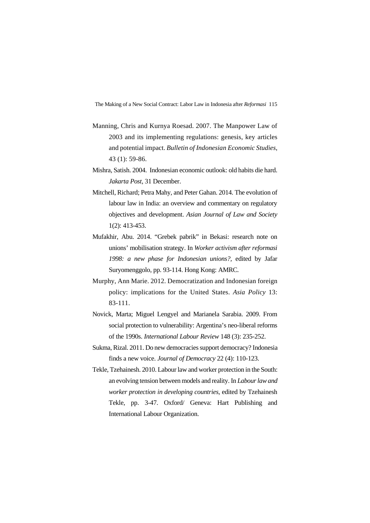- Manning, Chris and Kurnya Roesad. 2007. The Manpower Law of 2003 and its implementing regulations: genesis, key articles and potential impact. *Bulletin of Indonesian Economic Studies*, 43 (1): 59-86.
- Mishra, Satish. 2004. Indonesian economic outlook: old habits die hard. *Jakarta Post*, 31 December.
- Mitchell, Richard; Petra Mahy, and Peter Gahan. 2014. The evolution of labour law in India: an overview and commentary on regulatory objectives and development. *Asian Journal of Law and Society* 1(2): 413-453.
- Mufakhir, Abu. 2014. "Grebek pabrik" in Bekasi: research note on unions' mobilisation strategy. In *Worker activism after reformasi 1998: a new phase for Indonesian unions?,* edited by Jafar Suryomenggolo, pp. 93-114. Hong Kong: AMRC.
- Murphy, Ann Marie. 2012. Democratization and Indonesian foreign policy: implications for the United States. *Asia Policy* 13: 83-111.
- Novick, Marta; Miguel Lengyel and Marianela Sarabia. 2009. From social protection to vulnerability: Argentina's neo-liberal reforms of the 1990s. *International Labour Review* 148 (3): 235-252.
- Sukma, Rizal. 2011. Do new democracies support democracy? Indonesia finds a new voice. *Journal of Democracy* 22 (4): 110-123.
- Tekle, Tzehainesh. 2010. Labour law and worker protection in the South: an evolving tension between models and reality. In *Labour law and worker protection in developing countries*, edited by Tzehainesh Tekle, pp. 3-47. Oxford/ Geneva: Hart Publishing and International Labour Organization.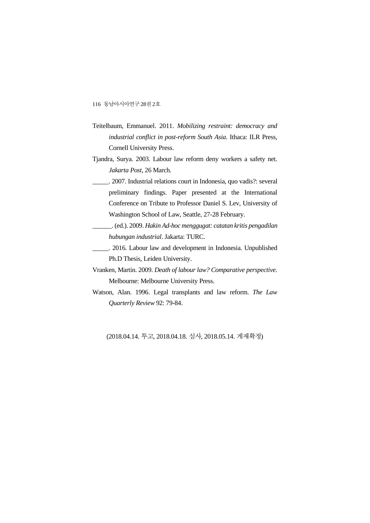- Teitelbaum, Emmanuel. 2011. *Mobilizing restraint: democracy and industrial conflict in post-reform South Asia*. Ithaca: ILR Press, Cornell University Press.
- Tjandra, Surya. 2003. Labour law reform deny workers a safety net. *Jakarta Post*, 26 March.
	- \_\_\_\_\_. 2007. Industrial relations court in Indonesia, quo vadis?: several preliminary findings. Paper presented at the International Conference on Tribute to Professor Daniel S. Lev, University of Washington School of Law, Seattle, 27-28 February.

\_\_\_\_\_\_. (ed.). 2009. *Hakin Ad-hoc menggugat: catatan kritis pengadilan hubungan industrial*. Jakarta: TURC.

\_\_\_\_\_. 2016. Labour law and development in Indonesia. Unpublished Ph.D Thesis, Leiden University.

- Vranken, Martin. 2009. *Death of labour law? Comparative perspective*. Melbourne: Melbourne University Press.
- Watson, Alan. 1996. Legal transplants and law reform. *The Law Quarterly Review* 92: 79-84.

(2018.04.14. 투고, 2018.04.18. 심사, 2018.05.14. 게재확정)